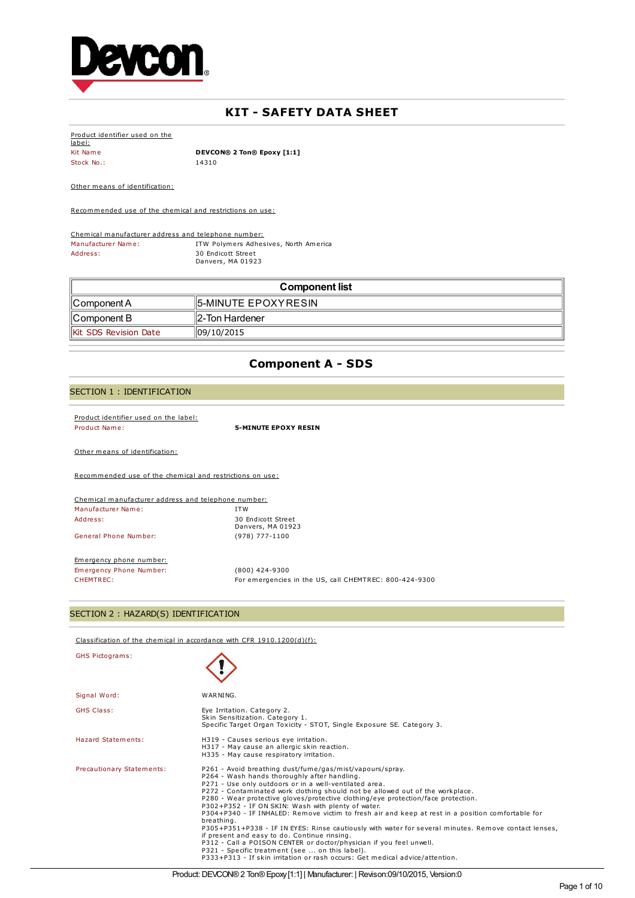

# **KIT - SAFETY DATA SHEET**

Product identifier used on the label: Stock No.:

Kit Name **DEVCON® 2 Ton® Epoxy [1:1]**

Other means of identification:

Recommended use of the chemical and restrictions on use:

Chemical manufacturer address and telephone number: Manufacturer Name: ITW Polymers Adhesives, North America Address: 30 Endicott Street Danvers, MA 01923

 $\overline{\phantom{a}}$ 

| <b>Component list</b>         |                       |
|-------------------------------|-----------------------|
| ∥Component A                  | 15-MINUTE EPOXYRESIN  |
| Component B                   | ∥2-Ton Hardener       |
| <b>IKit SDS Revision Date</b> | $\frac{109}{10/2015}$ |

# **Component A - SDS**

| SECTION 1 : IDENTIFICATION                                                |                                                        |
|---------------------------------------------------------------------------|--------------------------------------------------------|
| Product identifier used on the label:<br>Product Name:                    | <b>5-MINUTE EPOXY RESIN</b>                            |
| Other means of identification:                                            |                                                        |
| Recommended use of the chemical and restrictions on use:                  |                                                        |
| Chemical manufacturer address and telephone number:                       |                                                        |
| Manufacturer Name:                                                        | <b>ITW</b>                                             |
| Address:                                                                  | 30 Endicott Street<br>Danvers, MA 01923                |
| General Phone Number:                                                     | $(978)$ 777-1100                                       |
| Emergency phone number:                                                   |                                                        |
| Emergency Phone Number:                                                   | $(800)$ 424-9300                                       |
| CHEMTREC:                                                                 | For emergencies in the US, call CHEMTREC: 800-424-9300 |
|                                                                           |                                                        |
| SECTION 2 : HAZARD(S) IDENTIFICATION                                      |                                                        |
| Classification of the chemical in accordance with CFR $1910.1200(d)(f)$ : |                                                        |

| <b>GHS Pictograms:</b>    |                                                                                                                                                                                                                                                                                                                                                                                                                                                                                                                                                                                                                                                                                                                                                                                                                                                                                     |
|---------------------------|-------------------------------------------------------------------------------------------------------------------------------------------------------------------------------------------------------------------------------------------------------------------------------------------------------------------------------------------------------------------------------------------------------------------------------------------------------------------------------------------------------------------------------------------------------------------------------------------------------------------------------------------------------------------------------------------------------------------------------------------------------------------------------------------------------------------------------------------------------------------------------------|
| Signal Word:              | WARNING.                                                                                                                                                                                                                                                                                                                                                                                                                                                                                                                                                                                                                                                                                                                                                                                                                                                                            |
| <b>GHS Class:</b>         | Eye Irritation. Category 2.<br>Skin Sensitization. Category 1.<br>Specific Target Organ Toxicity - STOT, Single Exposure SE. Category 3.                                                                                                                                                                                                                                                                                                                                                                                                                                                                                                                                                                                                                                                                                                                                            |
| <b>Hazard Statements:</b> | H319 - Causes serious eye irritation.<br>H317 - May cause an allergic skin reaction.<br>H335 - May cause respiratory irritation.                                                                                                                                                                                                                                                                                                                                                                                                                                                                                                                                                                                                                                                                                                                                                    |
| Precautionary Statements: | P261 - Avoid breathing dust/fume/gas/mist/vapours/spray.<br>P264 - Wash hands thoroughly after handling.<br>P271 - Use only outdoors or in a well-ventilated area.<br>P272 - Contaminated work clothing should not be allowed out of the workplace.<br>P280 - Wear protective gloves/protective clothing/eye protection/face protection.<br>P302+P352 - IF ON SKIN: Wash with plenty of water.<br>P304+P340 - IF INHALED: Remove victim to fresh air and keep at rest in a position comfortable for<br>breathing.<br>P305+P351+P338 - IF IN EYES: Rinse cautiously with water for several minutes. Remove contact lenses,<br>if present and easy to do. Continue rinsing.<br>P312 - Call a POISON CENTER or doctor/physician if you feel unwell.<br>P321 - Specific treatment (see  on this label).<br>P333+P313 - If skin irritation or rash occurs: Get medical advice/attention. |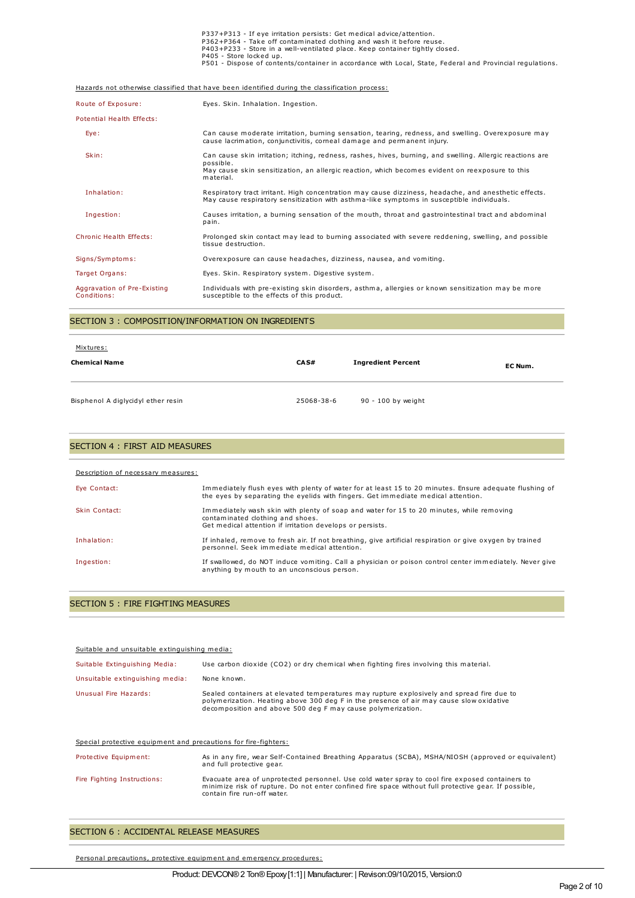P337+P313 - If eye irritation persists: Get medical advice/attention.

P362+P364 - Take off contaminated clothing and wash it before reuse.<br>P403+P233 - Store in a well-ventilated place. Keep container tightly closed.<br>P405 - Store locked up.<br>P501 - Dispose of contents/container in accordance w

Hazards not otherwise classified that have been identified during the classification process:

| Route of Exposure:                         | Eyes. Skin. Inhalation. Ingestion.                                                                                                                                                                                                     |
|--------------------------------------------|----------------------------------------------------------------------------------------------------------------------------------------------------------------------------------------------------------------------------------------|
| Potential Health Effects:                  |                                                                                                                                                                                                                                        |
| Eye:                                       | Can cause moderate irritation, burning sensation, tearing, redness, and swelling. Overexposure may<br>cause lacrimation, conjunctivitis, corneal damage and permanent injury.                                                          |
| Skin:                                      | Can cause skin irritation; itching, redness, rashes, hives, burning, and swelling. Allergic reactions are<br>possible.<br>May cause skin sensitization, an allergic reaction, which becomes evident on reexposure to this<br>material. |
| Inhalation:                                | Respiratory tract irritant. High concentration may cause dizziness, headache, and anesthetic effects.<br>May cause respiratory sensitization with asthma-like symptoms in susceptible individuals.                                     |
| Ingestion:                                 | Causes irritation, a burning sensation of the mouth, throat and gastrointestinal tract and abdominal<br>pain.                                                                                                                          |
| Chronic Health Effects:                    | Prolonged skin contact may lead to burning associated with severe reddening, swelling, and possible<br>tissue destruction.                                                                                                             |
| Signs/Symptoms:                            | Overexposure can cause headaches, dizziness, nausea, and vomiting.                                                                                                                                                                     |
| Target Organs:                             | Eyes. Skin. Respiratory system. Digestive system.                                                                                                                                                                                      |
| Aggravation of Pre-Existing<br>Conditions: | Individuals with pre-existing skin disorders, asthma, allergies or known sensitization may be more<br>susceptible to the effects of this product.                                                                                      |

#### SECTION 3 : COMPOSITION/INFORMATION ON INGREDIENTS

| Mixtures:                          |            |                           |         |
|------------------------------------|------------|---------------------------|---------|
| <b>Chemical Name</b>               | CA S#      | <b>Ingredient Percent</b> | EC Num. |
| Bisphenol A diglycidyl ether resin | 25068-38-6 | 90 - 100 by weight        |         |

|  | SECTION 4 : FIRST AID MEASURES |
|--|--------------------------------|
|--|--------------------------------|

| Description of necessary measures: |                                                                                                                                                                                             |
|------------------------------------|---------------------------------------------------------------------------------------------------------------------------------------------------------------------------------------------|
| Eye Contact:                       | Immediately flush eyes with plenty of water for at least 15 to 20 minutes. Ensure adequate flushing of<br>the eyes by separating the eyelids with fingers. Get immediate medical attention. |
| Skin Contact:                      | Immediately wash skin with plenty of soap and water for 15 to 20 minutes, while removing<br>contaminated clothing and shoes.<br>Get medical attention if irritation develops or persists.   |
| Inhalation:                        | If inhaled, remove to fresh air. If not breathing, give artificial respiration or give oxygen by trained<br>personnel. Seek immediate medical attention.                                    |
| Ingestion:                         | If swallowed, do NOT induce vomiting. Call a physician or poison control center immediately. Never give<br>anything by mouth to an unconscious person.                                      |

#### SECTION 5 : FIRE FIGHTING MEASURES

| Suitable and unsuitable extinguishing media:                    |                                                                                                                                                                                                                                                     |  |  |
|-----------------------------------------------------------------|-----------------------------------------------------------------------------------------------------------------------------------------------------------------------------------------------------------------------------------------------------|--|--|
| Suitable Extinguishing Media:                                   | Use carbon dioxide (CO2) or dry chemical when fighting fires involving this material.                                                                                                                                                               |  |  |
| Unsuitable extinguishing media:                                 | None known.                                                                                                                                                                                                                                         |  |  |
| Unusual Fire Hazards:                                           | Sealed containers at elevated temperatures may rupture explosively and spread fire due to<br>polymerization. Heating above 300 deg F in the presence of air may cause slow oxidative<br>decomposition and above 500 deg F may cause polymerization. |  |  |
| Special protective equipment and precautions for fire-fighters: |                                                                                                                                                                                                                                                     |  |  |
| Protective Equipment:                                           | As in any fire, wear Self-Contained Breathing Apparatus (SCBA), MSHA/NIOSH (approved or equivalent)<br>and full protective gear.                                                                                                                    |  |  |
| Fire Fighting Instructions:                                     | Evacuate area of unprotected personnel. Use cold water spray to cool fire exposed containers to<br>minimize risk of rupture. Do not enter confined fire space without full protective gear. If possible,<br>contain fire run-off water.             |  |  |

#### SECTION 6 : ACCIDENTAL RELEASE MEASURES

Personal precautions, protective equipment and emergency procedures: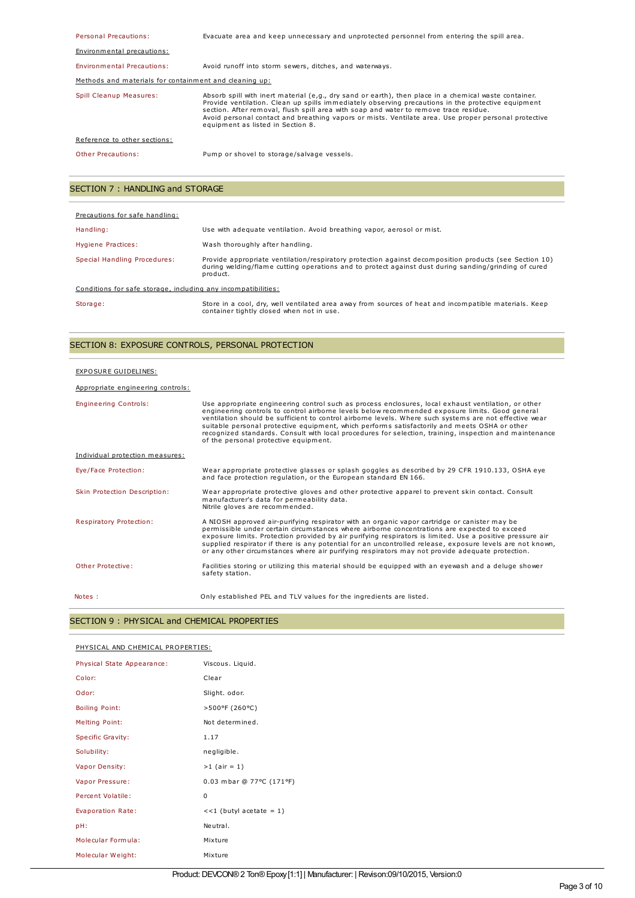| Personal Precautions:                                  | Evacuate area and keep unnecessary and unprotected personnel from entering the spill area.                                                                                                                                                                                                                                                                                                                                                        |  |
|--------------------------------------------------------|---------------------------------------------------------------------------------------------------------------------------------------------------------------------------------------------------------------------------------------------------------------------------------------------------------------------------------------------------------------------------------------------------------------------------------------------------|--|
| Environmental precautions:                             |                                                                                                                                                                                                                                                                                                                                                                                                                                                   |  |
| Environmental Precautions:                             | Avoid runoff into storm sewers, ditches, and waterways.                                                                                                                                                                                                                                                                                                                                                                                           |  |
| Methods and materials for containment and cleaning up: |                                                                                                                                                                                                                                                                                                                                                                                                                                                   |  |
| Spill Cleanup Measures:                                | Absorb spill with inert material (e,q., dry sand or earth), then place in a chemical waste container.<br>Provide ventilation. Clean up spills immediately observing precautions in the protective equipment<br>section. After removal, flush spill area with soap and water to remove trace residue.<br>Avoid personal contact and breathing vapors or mists. Ventilate area. Use proper personal protective<br>equipment as listed in Section 8. |  |
| Reference to other sections:                           |                                                                                                                                                                                                                                                                                                                                                                                                                                                   |  |
| Other Precautions:                                     | Pump or shovel to storage/salvage vessels.                                                                                                                                                                                                                                                                                                                                                                                                        |  |
|                                                        |                                                                                                                                                                                                                                                                                                                                                                                                                                                   |  |

# SECTION 7 : HANDLING and STORAGE

| Precautions for safe handling:                                |                                                                                                                                                                                                                            |  |
|---------------------------------------------------------------|----------------------------------------------------------------------------------------------------------------------------------------------------------------------------------------------------------------------------|--|
| Handling:                                                     | Use with adequate ventilation. Avoid breathing vapor, aerosol or mist.                                                                                                                                                     |  |
| Hygiene Practices:                                            | Wash thoroughly after handling.                                                                                                                                                                                            |  |
| Special Handling Procedures:                                  | Provide appropriate ventilation/respiratory protection against decomposition products (see Section 10)<br>during welding/flame cutting operations and to protect against dust during sanding/grinding of cured<br>product. |  |
| Conditions for safe storage, including any incompatibilities: |                                                                                                                                                                                                                            |  |
| Storage:                                                      | Store in a cool, dry, well ventilated area away from sources of heat and incompatible materials. Keep<br>container tightly closed when not in use.                                                                         |  |

# SECTION 8: EXPOSURE CONTROLS, PERSONAL PROTECTION

| EXPOSURE GUIDELINES:              |                                                                                                                                                                                                                                                                                                                                                                                                                                                                                                                                                                       |
|-----------------------------------|-----------------------------------------------------------------------------------------------------------------------------------------------------------------------------------------------------------------------------------------------------------------------------------------------------------------------------------------------------------------------------------------------------------------------------------------------------------------------------------------------------------------------------------------------------------------------|
| Appropriate engineering controls: |                                                                                                                                                                                                                                                                                                                                                                                                                                                                                                                                                                       |
| <b>Engineering Controls:</b>      | Use appropriate engineering control such as process enclosures, local exhaust ventilation, or other<br>engineering controls to control airborne levels below recommended exposure limits. Good general<br>ventilation should be sufficient to control airborne levels. Where such systems are not effective wear<br>suitable personal protective equipment, which performs satisfactorily and meets OSHA or other<br>recognized standards. Consult with local procedures for selection, training, inspection and maintenance<br>of the personal protective equipment. |
| Individual protection measures:   |                                                                                                                                                                                                                                                                                                                                                                                                                                                                                                                                                                       |
| Eye/Face Protection:              | Wear appropriate protective glasses or splash goggles as described by 29 CFR 1910.133, OSHA eye<br>and face protection regulation, or the European standard EN 166.                                                                                                                                                                                                                                                                                                                                                                                                   |
| Skin Protection Description:      | Wear appropriate protective gloves and other protective apparel to prevent skin contact. Consult<br>manufacturer's data for permeability data.<br>Nitrile aloves are recommended.                                                                                                                                                                                                                                                                                                                                                                                     |
| Respiratory Protection:           | A NIOSH approved air-purifying respirator with an organic vapor cartridge or canister may be<br>permissible under certain circumstances where airborne concentrations are expected to exceed<br>exposure limits. Protection provided by air purifying respirators is limited. Use a positive pressure air<br>supplied respirator if there is any potential for an uncontrolled release, exposure levels are not known,<br>or any other circumstances where air purifying respirators may not provide adequate protection.                                             |
| Other Protective:                 | Facilities storing or utilizing this material should be equipped with an eyewash and a deluge shower<br>safety station.                                                                                                                                                                                                                                                                                                                                                                                                                                               |
| Notes:                            | Only established PEL and TLV values for the ingredients are listed.                                                                                                                                                                                                                                                                                                                                                                                                                                                                                                   |

# SECTION 9 : PHYSICAL and CHEMICAL PROPERTIES

# PHYSICAL AND CHEMICAL PROPERTIES:

| Physical State Appearance: | Viscous. Liquid.          |
|----------------------------|---------------------------|
| Color:                     | Clear                     |
| Odor:                      | Slight. odor.             |
| <b>Boiling Point:</b>      | >500°F (260°C)            |
| <b>Melting Point:</b>      | Not determined.           |
| Specific Gravity:          | 1.17                      |
| Solubility:                | negligible.               |
| <b>Vapor Density:</b>      | $>1$ (air = 1)            |
| Vapor Pressure:            | 0.03 mbar @ 77°C (171°F)  |
| Percent Volatile:          | 0                         |
| Evaporation Rate:          | $<<1$ (butyl acetate = 1) |
| pH:                        | Neutral.                  |
| Molecular Formula:         | Mixture                   |
| Molecular Weight:          | Mixture                   |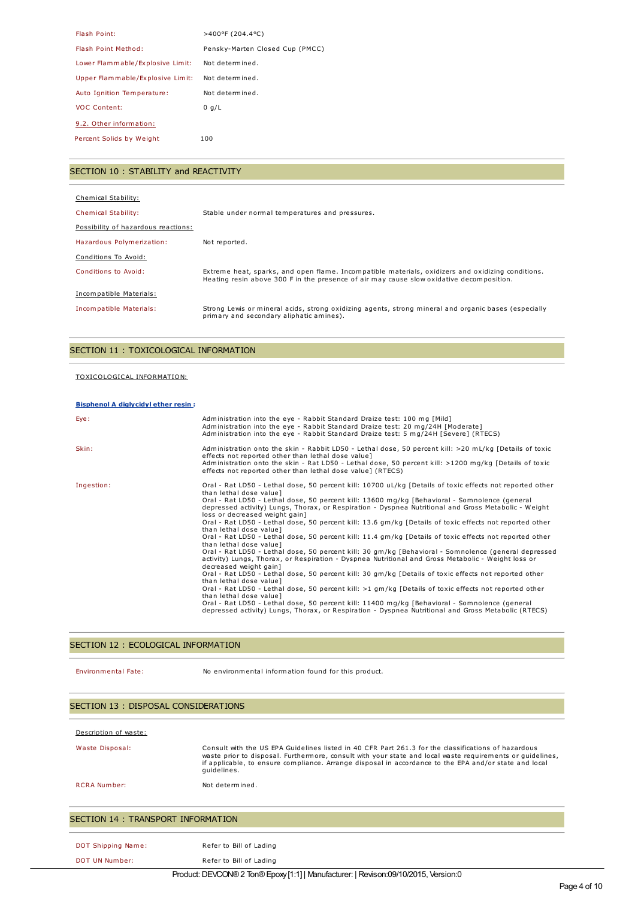| Flash Point:                     | $>400^{\circ}$ F (204.4 °C)     |
|----------------------------------|---------------------------------|
| Flash Point Method:              | Pensky-Marten Closed Cup (PMCC) |
| Lower Flammable/Explosive Limit: | Not determined.                 |
| Upper Flammable/Explosive Limit: | Not determined.                 |
| Auto Ignition Temperature:       | Not determined.                 |
| <b>VOC Content:</b>              | 0 q/L                           |
| 9.2. Other information:          |                                 |
| Percent Solids by Weight         | 100                             |

# SECTION 10 : STABILITY and REACTIVITY

| Chemical Stability:                 |                                                                                                                                                                                               |
|-------------------------------------|-----------------------------------------------------------------------------------------------------------------------------------------------------------------------------------------------|
| <b>Chemical Stability:</b>          | Stable under normal temperatures and pressures.                                                                                                                                               |
| Possibility of hazardous reactions: |                                                                                                                                                                                               |
| Hazardous Polymerization:           | Not reported.                                                                                                                                                                                 |
| Conditions To Avoid:                |                                                                                                                                                                                               |
| Conditions to Avoid:                | Extreme heat, sparks, and open flame. Incompatible materials, oxidizers and oxidizing conditions.<br>Heating resin above 300 F in the presence of air may cause slow oxidative decomposition. |
| Incompatible Materials:             |                                                                                                                                                                                               |
| Incompatible Materials:             | Strong Lewis or mineral acids, strong oxidizing agents, strong mineral and organic bases (especially<br>primary and secondary aliphatic amines).                                              |

#### SECTION 11 : TOXICOLOGICAL INFORMATION

#### TOXICOLOGICAL INFORMATION:

#### **Bisphenol A diglycidyl ether resin :**

| Eye:       | Administration into the eye - Rabbit Standard Draize test: 100 mg [Mild]<br>Administration into the eye - Rabbit Standard Draize test: 20 mg/24H [Moderate]<br>Administration into the eye - Rabbit Standard Draize test: 5 mg/24H [Severe] (RTECS)                                                                                                                                                                                                                                                                                                                                                                                                                                                                                                                                                                                                                                                                                                                                                                                                                                                                                                                                                                                                                                                                                                                                |
|------------|------------------------------------------------------------------------------------------------------------------------------------------------------------------------------------------------------------------------------------------------------------------------------------------------------------------------------------------------------------------------------------------------------------------------------------------------------------------------------------------------------------------------------------------------------------------------------------------------------------------------------------------------------------------------------------------------------------------------------------------------------------------------------------------------------------------------------------------------------------------------------------------------------------------------------------------------------------------------------------------------------------------------------------------------------------------------------------------------------------------------------------------------------------------------------------------------------------------------------------------------------------------------------------------------------------------------------------------------------------------------------------|
| Skin:      | Administration onto the skin - Rabbit LD50 - Lethal dose, 50 percent kill: >20 mL/kg [Details of toxic<br>effects not reported other than lethal dose value]<br>Administration onto the skin - Rat LD50 - Lethal dose, 50 percent kill: >1200 mg/kg [Details of toxic<br>effects not reported other than lethal dose value] (RTECS)                                                                                                                                                                                                                                                                                                                                                                                                                                                                                                                                                                                                                                                                                                                                                                                                                                                                                                                                                                                                                                                |
| Ingestion: | Oral - Rat LD50 - Lethal dose, 50 percent kill: 10700 uL/kg [Details of toxic effects not reported other<br>than lethal dose value]<br>Oral - Rat LD50 - Lethal dose, 50 percent kill: 13600 mg/kg [Behavioral - Somnolence (general<br>depressed activity) Lungs, Thorax, or Respiration - Dyspnea Nutritional and Gross Metabolic - Weight<br>loss or decreased weight gain]<br>Oral - Rat LD50 - Lethal dose, 50 percent kill: 13.6 gm/kg [Details of toxic effects not reported other<br>than lethal dose value]<br>Oral - Rat LD50 - Lethal dose, 50 percent kill: 11.4 gm/kg [Details of toxic effects not reported other<br>than lethal dose value]<br>Oral - Rat LD50 - Lethal dose, 50 percent kill: 30 gm/kg [Behavioral - Somnolence (general depressed<br>activity) Lungs, Thorax, or Respiration - Dyspnea Nutritional and Gross Metabolic - Weight loss or<br>decreased weight gain]<br>Oral - Rat LD50 - Lethal dose, 50 percent kill: 30 gm/kg [Details of toxic effects not reported other<br>than lethal dose value]<br>Oral - Rat LD50 - Lethal dose, 50 percent kill: >1 gm/kg [Details of toxic effects not reported other<br>than lethal dose value]<br>Oral - Rat LD50 - Lethal dose, 50 percent kill: 11400 mg/kg [Behavioral - Somnolence (general<br>depressed activity) Lungs, Thorax, or Respiration - Dyspnea Nutritional and Gross Metabolic (RTECS) |

# SECTION 12 : ECOLOGICAL INFORMATION

Environmental Fate: No environmental information found for this product.

# SECTION 13 : DISPOSAL CONSIDERATIONS

| Description of waste: |                                                                                                                                                                                                                                                                                                                                          |
|-----------------------|------------------------------------------------------------------------------------------------------------------------------------------------------------------------------------------------------------------------------------------------------------------------------------------------------------------------------------------|
| Waste Disposal:       | Consult with the US EPA Guidelines listed in 40 CFR Part 261.3 for the classifications of hazardous<br>waste prior to disposal. Furthermore, consult with your state and local waste requirements or quidelines,<br>if applicable, to ensure compliance. Arrange disposal in accordance to the EPA and/or state and local<br>quidelines. |
| RCRA Number:          | Not determined.                                                                                                                                                                                                                                                                                                                          |

# SECTION 14 : TRANSPORT INFORMATION

| DOT UN Number:            | Refer to Bill of Lading |  |
|---------------------------|-------------------------|--|
| <b>DOT Shipping Name:</b> | Refer to Bill of Lading |  |

Product: DEVCON®2 Ton®Epoxy[1:1] | Manufacturer: | Revison:09/10/2015, Version:0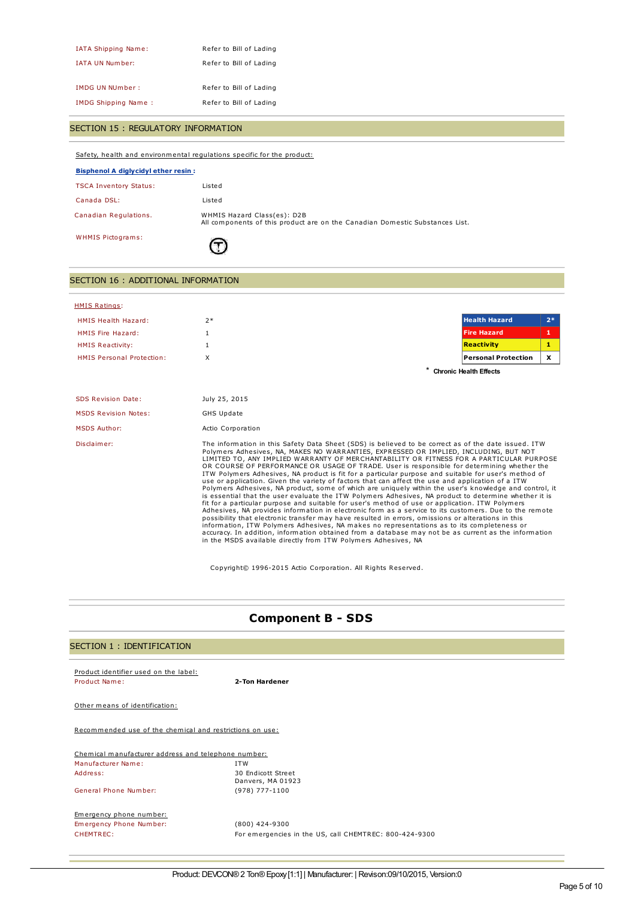| IATA Shipping Name:    | Refer to Bill of Lading |
|------------------------|-------------------------|
| <b>IATA UN Number:</b> | Refer to Bill of Lading |
| <b>IMDG UN NUmber:</b> | Refer to Bill of Lading |
| IMDG Shipping Name:    | Refer to Bill of Lading |

# SECTION 15 : REGULATORY INFORMATION

Safety, health and environmental regulations specific for the product:

| <b>Bisphenol A diglycidyl ether resin:</b> |                                                                                                             |
|--------------------------------------------|-------------------------------------------------------------------------------------------------------------|
| <b>TSCA Inventory Status:</b>              | Listed                                                                                                      |
| Canada DSL:                                | Listed                                                                                                      |
| Canadian Regulations.                      | WHMIS Hazard Class(es): D2B<br>All components of this product are on the Canadian Domestic Substances List. |
| <b>WHMIS Pictograms:</b>                   |                                                                                                             |

# SECTION 16 : ADDITIONAL INFORMATION

| <b>HMIS Ratings:</b>             |                                                                                                                                                                                                                                                                                                                                                                                                                                                                                                                                                                                                                                                                                                                                                                                                                                                                                                                                                                                                                                                                                                                                                                                                                                                                                                                                                                                                                    |                               |              |
|----------------------------------|--------------------------------------------------------------------------------------------------------------------------------------------------------------------------------------------------------------------------------------------------------------------------------------------------------------------------------------------------------------------------------------------------------------------------------------------------------------------------------------------------------------------------------------------------------------------------------------------------------------------------------------------------------------------------------------------------------------------------------------------------------------------------------------------------------------------------------------------------------------------------------------------------------------------------------------------------------------------------------------------------------------------------------------------------------------------------------------------------------------------------------------------------------------------------------------------------------------------------------------------------------------------------------------------------------------------------------------------------------------------------------------------------------------------|-------------------------------|--------------|
| <b>HMIS Health Hazard:</b>       | $2*$                                                                                                                                                                                                                                                                                                                                                                                                                                                                                                                                                                                                                                                                                                                                                                                                                                                                                                                                                                                                                                                                                                                                                                                                                                                                                                                                                                                                               | <b>Health Hazard</b>          | $2*$         |
| HMIS Fire Hazard:                | $\mathbf{1}$                                                                                                                                                                                                                                                                                                                                                                                                                                                                                                                                                                                                                                                                                                                                                                                                                                                                                                                                                                                                                                                                                                                                                                                                                                                                                                                                                                                                       | <b>Fire Hazard</b>            | $\mathbf{1}$ |
| <b>HMIS Reactivity:</b>          | 1                                                                                                                                                                                                                                                                                                                                                                                                                                                                                                                                                                                                                                                                                                                                                                                                                                                                                                                                                                                                                                                                                                                                                                                                                                                                                                                                                                                                                  | <b>Reactivity</b>             | 1.           |
| <b>HMIS Personal Protection:</b> | X                                                                                                                                                                                                                                                                                                                                                                                                                                                                                                                                                                                                                                                                                                                                                                                                                                                                                                                                                                                                                                                                                                                                                                                                                                                                                                                                                                                                                  | <b>Personal Protection</b>    | x            |
|                                  |                                                                                                                                                                                                                                                                                                                                                                                                                                                                                                                                                                                                                                                                                                                                                                                                                                                                                                                                                                                                                                                                                                                                                                                                                                                                                                                                                                                                                    | <b>Chronic Health Effects</b> |              |
|                                  |                                                                                                                                                                                                                                                                                                                                                                                                                                                                                                                                                                                                                                                                                                                                                                                                                                                                                                                                                                                                                                                                                                                                                                                                                                                                                                                                                                                                                    |                               |              |
| <b>SDS Revision Date:</b>        | July 25, 2015                                                                                                                                                                                                                                                                                                                                                                                                                                                                                                                                                                                                                                                                                                                                                                                                                                                                                                                                                                                                                                                                                                                                                                                                                                                                                                                                                                                                      |                               |              |
| <b>MSDS Revision Notes:</b>      | <b>GHS Update</b>                                                                                                                                                                                                                                                                                                                                                                                                                                                                                                                                                                                                                                                                                                                                                                                                                                                                                                                                                                                                                                                                                                                                                                                                                                                                                                                                                                                                  |                               |              |
| <b>MSDS Author:</b>              | Actio Corporation                                                                                                                                                                                                                                                                                                                                                                                                                                                                                                                                                                                                                                                                                                                                                                                                                                                                                                                                                                                                                                                                                                                                                                                                                                                                                                                                                                                                  |                               |              |
| Disclaimer:                      | The information in this Safety Data Sheet (SDS) is believed to be correct as of the date issued. ITW<br>Polymers Adhesives, NA, MAKES NO WARRANTIES, EXPRESSED OR IMPLIED, INCLUDING, BUT NOT<br>LIMITED TO, ANY IMPLIED WARRANTY OF MERCHANTABILITY OR FITNESS FOR A PARTICULAR PURPOSE<br>OR COURSE OF PERFORMANCE OR USAGE OF TRADE. User is responsible for determining whether the<br>ITW Polymers Adhesives, NA product is fit for a particular purpose and suitable for user's method of<br>use or application. Given the variety of factors that can affect the use and application of a ITW<br>Polymers Adhesives, NA product, some of which are uniquely within the user's knowledge and control, it<br>is essential that the user evaluate the ITW Polymers Adhesives, NA product to determine whether it is<br>fit for a particular purpose and suitable for user's method of use or application. ITW Polymers<br>Adhesives. NA provides information in electronic form as a service to its customers. Due to the remote<br>possibility that electronic transfer may have resulted in errors, omissions or alterations in this<br>information, ITW Polymers Adhesives, NA makes no representations as to its completeness or<br>accuracy. In addition, information obtained from a database may not be as current as the information<br>in the MSDS available directly from ITW Polymers Adhesives, NA |                               |              |

Copyright© 1996-2015 Actio Corporation. All Rights Reserved.

# **Component B - SDS**

# SECTION 1 : IDENTIFICATION

| Product identifier used on the label:<br>Product Name:   | 2-Ton Hardener                                         |  |  |
|----------------------------------------------------------|--------------------------------------------------------|--|--|
| Other means of identification:                           |                                                        |  |  |
| Recommended use of the chemical and restrictions on use: |                                                        |  |  |
|                                                          | Chemical manufacturer address and telephone number:    |  |  |
| Manufacturer Name:                                       | <b>ITW</b>                                             |  |  |
| Address:                                                 | 30 Endicott Street<br>Danvers, MA 01923                |  |  |
| General Phone Number:                                    | $(978)$ 777-1100                                       |  |  |
| Emergency phone number:                                  |                                                        |  |  |
| Emergency Phone Number:                                  | $(800)$ 424-9300                                       |  |  |
| <b>CHEMTREC:</b>                                         | For emergencies in the US, call CHEMTREC: 800-424-9300 |  |  |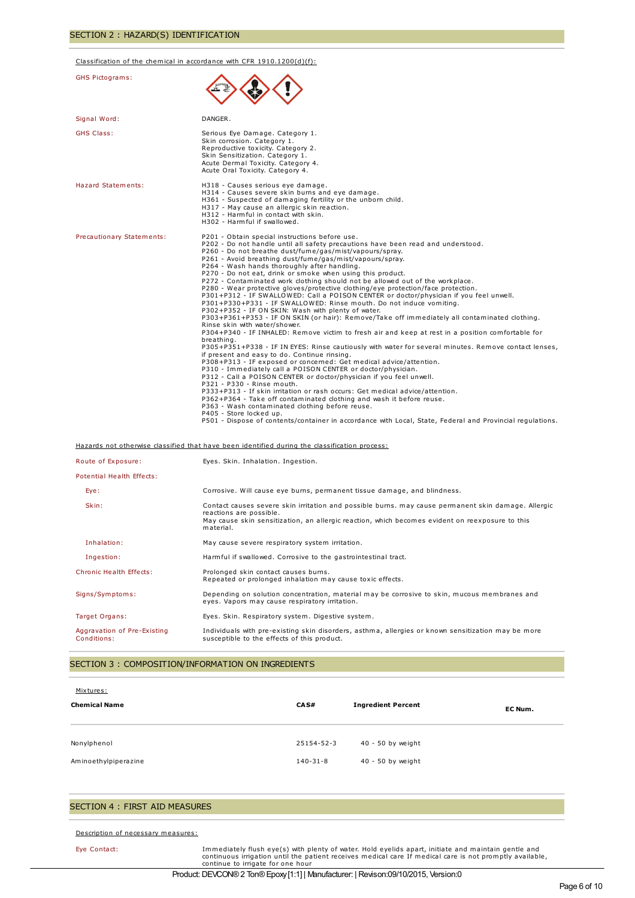Classification of the chemical in accordance with CFR 1910.1200(d)(f):

| GHS Pictograms:                            |                                                                                                                                                                                                                                                                                                                                                                                                                                                                                                                                                                                                                                                                                                                                                                                                                                                                                                                                                                                                                                                                                                                                                                                                                                                                                                                                                                                                                                                                                                                                                                                                                                                                                                                                                                                 |
|--------------------------------------------|---------------------------------------------------------------------------------------------------------------------------------------------------------------------------------------------------------------------------------------------------------------------------------------------------------------------------------------------------------------------------------------------------------------------------------------------------------------------------------------------------------------------------------------------------------------------------------------------------------------------------------------------------------------------------------------------------------------------------------------------------------------------------------------------------------------------------------------------------------------------------------------------------------------------------------------------------------------------------------------------------------------------------------------------------------------------------------------------------------------------------------------------------------------------------------------------------------------------------------------------------------------------------------------------------------------------------------------------------------------------------------------------------------------------------------------------------------------------------------------------------------------------------------------------------------------------------------------------------------------------------------------------------------------------------------------------------------------------------------------------------------------------------------|
| Signal Word:                               | DANGER.                                                                                                                                                                                                                                                                                                                                                                                                                                                                                                                                                                                                                                                                                                                                                                                                                                                                                                                                                                                                                                                                                                                                                                                                                                                                                                                                                                                                                                                                                                                                                                                                                                                                                                                                                                         |
| <b>GHS Class:</b>                          | Serious Eye Damage. Category 1.<br>Skin corrosion. Category 1.<br>Reproductive toxicity. Category 2.<br>Skin Sensitization. Category 1.<br>Acute Dermal Toxicity. Category 4.<br>Acute Oral Toxicity. Category 4.                                                                                                                                                                                                                                                                                                                                                                                                                                                                                                                                                                                                                                                                                                                                                                                                                                                                                                                                                                                                                                                                                                                                                                                                                                                                                                                                                                                                                                                                                                                                                               |
| <b>Hazard Statements:</b>                  | H318 - Causes serious eye damage.<br>H314 - Causes severe skin burns and eye damage.<br>H361 - Suspected of damaging fertility or the unborn child.<br>H317 - May cause an allergic skin reaction.<br>H312 - Harmful in contact with skin.<br>H302 - Harmful if swallowed.                                                                                                                                                                                                                                                                                                                                                                                                                                                                                                                                                                                                                                                                                                                                                                                                                                                                                                                                                                                                                                                                                                                                                                                                                                                                                                                                                                                                                                                                                                      |
| Precautionary Statements:                  | P201 - Obtain special instructions before use.<br>P202 - Do not handle until all safety precautions have been read and understood.<br>P260 - Do not breathe dust/fume/gas/mist/vapours/spray.<br>P261 - Avoid breathing dust/fume/gas/mist/vapours/spray.<br>P264 - Wash hands thoroughly after handling.<br>P270 - Do not eat, drink or smoke when using this product.<br>P272 - Contaminated work clothing should not be allowed out of the workplace.<br>P280 - Wear protective gloves/protective clothing/eye protection/face protection.<br>P301+P312 - IF SWALLOWED: Call a POISON CENTER or doctor/physician if you feel unwell.<br>P301+P330+P331 - IF SWALLOWED: Rinse mouth. Do not induce vomiting.<br>P302+P352 - IF ON SKIN: Wash with plenty of water.<br>P303+P361+P353 - IF ON SKIN (or hair): Remove/Take off immediately all contaminated clothing.<br>Rinse skin with water/shower.<br>P304+P340 - IF INHALED: Remove victim to fresh air and keep at rest in a position comfortable for<br>breathing.<br>P305+P351+P338 - IF IN EYES: Rinse cautiously with water for several minutes. Remove contact lenses,<br>if present and easy to do. Continue rinsing.<br>P308+P313 - IF exposed or concerned: Get medical advice/attention.<br>P310 - Immediately call a POISON CENTER or doctor/physician.<br>P312 - Call a POISON CENTER or doctor/physician if you feel unwell.<br>P321 - P330 - Rinse mouth.<br>P333+P313 - If skin irritation or rash occurs: Get medical advice/attention.<br>P362+P364 - Take off contaminated clothing and wash it before reuse.<br>P363 - Wash contaminated clothing before reuse.<br>P405 - Store locked up.<br>P501 - Dispose of contents/container in accordance with Local, State, Federal and Provincial regulations. |
|                                            | Hazards not otherwise classified that have been identified during the classification process:                                                                                                                                                                                                                                                                                                                                                                                                                                                                                                                                                                                                                                                                                                                                                                                                                                                                                                                                                                                                                                                                                                                                                                                                                                                                                                                                                                                                                                                                                                                                                                                                                                                                                   |
| Route of Exposure:                         | Eyes. Skin. Inhalation. Ingestion.                                                                                                                                                                                                                                                                                                                                                                                                                                                                                                                                                                                                                                                                                                                                                                                                                                                                                                                                                                                                                                                                                                                                                                                                                                                                                                                                                                                                                                                                                                                                                                                                                                                                                                                                              |
| Potential Health Effects:                  |                                                                                                                                                                                                                                                                                                                                                                                                                                                                                                                                                                                                                                                                                                                                                                                                                                                                                                                                                                                                                                                                                                                                                                                                                                                                                                                                                                                                                                                                                                                                                                                                                                                                                                                                                                                 |
| Eye:                                       | Corrosive. Will cause eye burns, permanent tissue damage, and blindness.                                                                                                                                                                                                                                                                                                                                                                                                                                                                                                                                                                                                                                                                                                                                                                                                                                                                                                                                                                                                                                                                                                                                                                                                                                                                                                                                                                                                                                                                                                                                                                                                                                                                                                        |
| Skin:                                      | Contact causes severe skin irritation and possible burns. may cause permanent skin damage. Allergic<br>reactions are possible.<br>May cause skin sensitization, an allergic reaction, which becomes evident on reexposure to this<br>material.                                                                                                                                                                                                                                                                                                                                                                                                                                                                                                                                                                                                                                                                                                                                                                                                                                                                                                                                                                                                                                                                                                                                                                                                                                                                                                                                                                                                                                                                                                                                  |
| Inhalation:                                | May cause severe respiratory system irritation.                                                                                                                                                                                                                                                                                                                                                                                                                                                                                                                                                                                                                                                                                                                                                                                                                                                                                                                                                                                                                                                                                                                                                                                                                                                                                                                                                                                                                                                                                                                                                                                                                                                                                                                                 |
| Ingestion:                                 | Harmful if swallowed. Corrosive to the gastrointestinal tract.                                                                                                                                                                                                                                                                                                                                                                                                                                                                                                                                                                                                                                                                                                                                                                                                                                                                                                                                                                                                                                                                                                                                                                                                                                                                                                                                                                                                                                                                                                                                                                                                                                                                                                                  |
| Chronic Health Effects:                    | Prolonged skin contact causes burns.<br>Repeated or prolonged inhalation may cause toxic effects.                                                                                                                                                                                                                                                                                                                                                                                                                                                                                                                                                                                                                                                                                                                                                                                                                                                                                                                                                                                                                                                                                                                                                                                                                                                                                                                                                                                                                                                                                                                                                                                                                                                                               |
| Signs/Symptoms:                            | Depending on solution concentration, material may be corrosive to skin, mucous membranes and<br>eyes. Vapors may cause respiratory irritation.                                                                                                                                                                                                                                                                                                                                                                                                                                                                                                                                                                                                                                                                                                                                                                                                                                                                                                                                                                                                                                                                                                                                                                                                                                                                                                                                                                                                                                                                                                                                                                                                                                  |
| Target Organs:                             | Eyes. Skin. Respiratory system. Digestive system.                                                                                                                                                                                                                                                                                                                                                                                                                                                                                                                                                                                                                                                                                                                                                                                                                                                                                                                                                                                                                                                                                                                                                                                                                                                                                                                                                                                                                                                                                                                                                                                                                                                                                                                               |
| Aggravation of Pre-Existing<br>Conditions: | Individuals with pre-existing skin disorders, asthma, allergies or known sensitization may be more<br>susceptible to the effects of this product.                                                                                                                                                                                                                                                                                                                                                                                                                                                                                                                                                                                                                                                                                                                                                                                                                                                                                                                                                                                                                                                                                                                                                                                                                                                                                                                                                                                                                                                                                                                                                                                                                               |
|                                            |                                                                                                                                                                                                                                                                                                                                                                                                                                                                                                                                                                                                                                                                                                                                                                                                                                                                                                                                                                                                                                                                                                                                                                                                                                                                                                                                                                                                                                                                                                                                                                                                                                                                                                                                                                                 |

# SECTION 3 : COMPOSITION/INFORMATION ON INGREDIENTS

| Mixtures:<br><b>Chemical Name</b> | CA S#          | <b>Ingredient Percent</b> | EC Num. |
|-----------------------------------|----------------|---------------------------|---------|
| Nonylphenol                       | 25154-52-3     | 40 - 50 by weight         |         |
| Aminoethylpiperazine              | $140 - 31 - 8$ | 40 - 50 by weight         |         |

# SECTION 4 : FIRST AID MEASURES

#### Description of necessary measures:

Eye Contact: Immediately flush eye(s) with plenty of water. Hold eyelids apart, initiate and maintain gentle and<br>continueus irrigation until the patient receives medical care If medical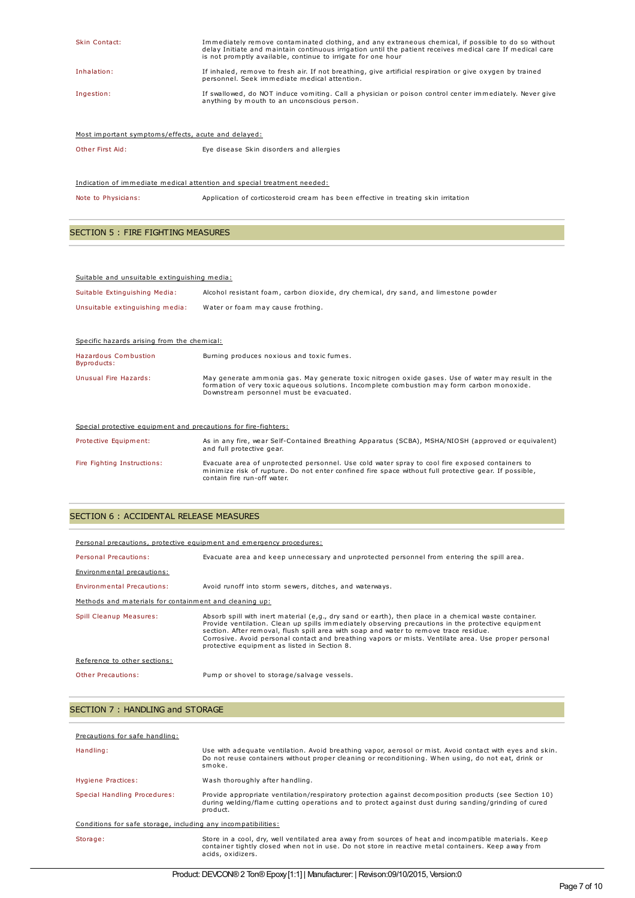| Skin Contact:                                       | Immediately remove contaminated clothing, and any extraneous chemical, if possible to do so without<br>delay Initiate and maintain continuous irrigation until the patient receives medical care If medical care<br>is not promptly available, continue to irrigate for one hour |  |
|-----------------------------------------------------|----------------------------------------------------------------------------------------------------------------------------------------------------------------------------------------------------------------------------------------------------------------------------------|--|
| Inhalation:                                         | If inhaled, remove to fresh air. If not breathing, give artificial respiration or give oxygen by trained<br>personnel. Seek immediate medical attention.                                                                                                                         |  |
| Ingestion:                                          | If swallowed, do NOT induce vomiting. Call a physician or poison control center immediately. Never give<br>anything by mouth to an unconscious person.                                                                                                                           |  |
| Most important symptoms/effects, acute and delayed: |                                                                                                                                                                                                                                                                                  |  |
| Other First Aid:                                    | Eve disease Skin disorders and allergies                                                                                                                                                                                                                                         |  |

# Indication of immediate medical attention and special treatment needed:

Note to Physicians: Application of corticosteroid cream has been effective in treating skin irritation

# SECTION 5 : FIRE FIGHTING MEASURES

| Suitable and unsuitable extinguishing media:                    |                                                                                                                                                                                                                                            |  |  |
|-----------------------------------------------------------------|--------------------------------------------------------------------------------------------------------------------------------------------------------------------------------------------------------------------------------------------|--|--|
| Suitable Extinguishing Media:                                   | Alcohol resistant foam, carbon dioxide, dry chemical, dry sand, and limestone powder                                                                                                                                                       |  |  |
| Unsuitable extinguishing media:                                 | Water or foam may cause frothing.                                                                                                                                                                                                          |  |  |
|                                                                 |                                                                                                                                                                                                                                            |  |  |
| Specific hazards arising from the chemical:                     |                                                                                                                                                                                                                                            |  |  |
| <b>Hazardous Combustion</b><br>Byproducts:                      | Burning produces noxious and toxic fumes.                                                                                                                                                                                                  |  |  |
| <b>Unusual Fire Hazards:</b>                                    | May generate ammonia gas. May generate toxic nitrogen oxide gases. Use of water may result in the<br>formation of very toxic aqueous solutions. Incomplete combustion may form carbon monoxide.<br>Downstream personnel must be evacuated. |  |  |
| Special protective equipment and precautions for fire-fighters: |                                                                                                                                                                                                                                            |  |  |
| Protective Equipment:                                           | As in any fire, wear Self-Contained Breathing Apparatus (SCBA), MSHA/NIOSH (approved or equivalent)<br>and full protective gear.                                                                                                           |  |  |
| Fire Fighting Instructions:                                     | Evacuate area of unprotected personnel. Use cold water spray to cool fire exposed containers to<br>minimize risk of rupture. Do not enter confined fire space without full protective gear. If possible,<br>contain fire run-off water.    |  |  |

# SECTION 6 : ACCIDENTAL RELEASE MEASURES

| Personal precautions, protective equipment and emergency procedures: |                                                                                                                                                                                                                                                                                                                                                                                                                                                              |  |  |
|----------------------------------------------------------------------|--------------------------------------------------------------------------------------------------------------------------------------------------------------------------------------------------------------------------------------------------------------------------------------------------------------------------------------------------------------------------------------------------------------------------------------------------------------|--|--|
| Personal Precautions:                                                | Evacuate area and keep unnecessary and unprotected personnel from entering the spill area.                                                                                                                                                                                                                                                                                                                                                                   |  |  |
| Environmental precautions:                                           |                                                                                                                                                                                                                                                                                                                                                                                                                                                              |  |  |
| Environmental Precautions:                                           | Avoid runoff into storm sewers, ditches, and waterways.                                                                                                                                                                                                                                                                                                                                                                                                      |  |  |
| Methods and materials for containment and cleaning up:               |                                                                                                                                                                                                                                                                                                                                                                                                                                                              |  |  |
| Spill Cleanup Measures:                                              | Absorb spill with inert material (e,g., dry sand or earth), then place in a chemical waste container.<br>Provide ventilation. Clean up spills immediately observing precautions in the protective equipment<br>section. After removal, flush spill area with soap and water to remove trace residue.<br>Corrosive. Avoid personal contact and breathing vapors or mists. Ventilate area. Use proper personal<br>protective equipment as listed in Section 8. |  |  |
| Reference to other sections:                                         |                                                                                                                                                                                                                                                                                                                                                                                                                                                              |  |  |
| Other Precautions:                                                   | Pump or shovel to storage/salvage vessels.                                                                                                                                                                                                                                                                                                                                                                                                                   |  |  |

#### SECTION 7 : HANDLING and STORAGE

| Precautions for safe handling:                                |                                                                                                                                                                                                                                   |  |  |
|---------------------------------------------------------------|-----------------------------------------------------------------------------------------------------------------------------------------------------------------------------------------------------------------------------------|--|--|
| Handling:                                                     | Use with adequate ventilation. Avoid breathing vapor, aerosol or mist. Avoid contact with eyes and skin.<br>Do not reuse containers without proper cleaning or reconditioning. When using, do not eat, drink or<br>smoke.         |  |  |
| Hygiene Practices:                                            | Wash thoroughly after handling.                                                                                                                                                                                                   |  |  |
| Special Handling Procedures:                                  | Provide appropriate ventilation/respiratory protection against decomposition products (see Section 10)<br>during welding/flame cutting operations and to protect against dust during sanding/grinding of cured<br>product.        |  |  |
| Conditions for safe storage, including any incompatibilities: |                                                                                                                                                                                                                                   |  |  |
| Storage:                                                      | Store in a cool, dry, well ventilated area away from sources of heat and incompatible materials. Keep<br>container tightly closed when not in use. Do not store in reactive metal containers. Keep away from<br>acids, oxidizers. |  |  |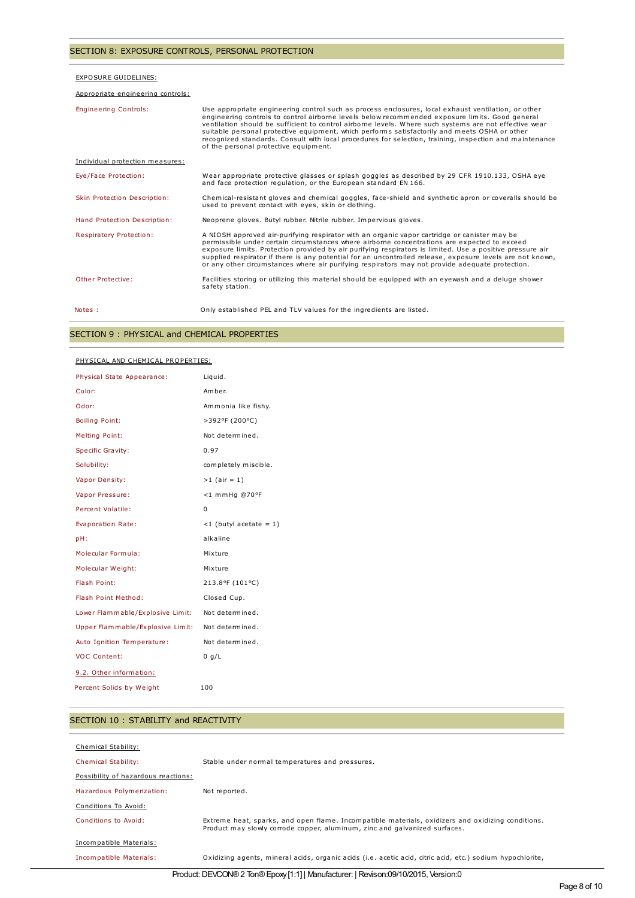#### SECTION 8: EXPOSURE CONTROLS, PERSONAL PROTECTION

#### EXPOSURE GUIDELINES:

Appropriate engineering controls: Engineering Controls:<br>Engineering Controls:<br>engineering control such as process enclosures, local exhaust ventilation, or other<br>engineering controls to control airbome levels below recommended exposure limits. Good general Individual protection measures: Eye/Face Protection: Wear appropriate protective glasses or splash goggles as described by 29 CFR 1910.133, OSHA eye and face protection regulation, or the European standard EN 166. Skin Protection Description: Chemical-resistant gloves and chemical goggles, face-shield and synthetic apron or coveralls should be used to prevent contact with eyes, skin or clothing. Hand Protection Description: Neoprene gloves. Butyl rubber. Nitrile rubber. Impervious gloves. Respiratory Protection: A NIOSH approved air-purifying respirator with an organic vapor cartridge or canister may be permissible under certain circumstances where airborne concentrations are expected to exceed exposure limits. Protection provided by air purifying respirators is limited. Use a positive pressure air<br>supplied respirator if there is any potential for an uncontrolled release, exposure levels are not known,<br>or any oth Other Protective: Facilities storing or utilizing this material should be equipped with an eyewash and a deluge shower safety station. Notes : Only established PEL and TLV values for the ingredients are listed.

#### SECTION 9 : PHYSICAL and CHEMICAL PROPERTIES

#### PHYSICAL AND CHEMICAL PROPERTIES:

| Physical State Appearance:       | Liquid.                   |
|----------------------------------|---------------------------|
| Color:                           | Amber.                    |
| Odor:                            | Ammonia like fishy.       |
| <b>Boiling Point:</b>            | >392°F (200°C)            |
| <b>Melting Point:</b>            | Not determined.           |
| Specific Gravity:                | 0.97                      |
| Solubility:                      | completely miscible.      |
| Vapor Density:                   | $>1$ (air = 1)            |
| Vapor Pressure:                  | <1 mmHq @70°F             |
| Percent Volatile:                | $\Omega$                  |
| Evaporation Rate:                | $<$ 1 (butyl acetate = 1) |
| pH:                              | alkaline                  |
| Molecular Formula:               | Mixture                   |
| Molecular Weight:                | Mixture                   |
| Flash Point:                     | 213.8°F (101°C)           |
| Flash Point Method:              | Closed Cup.               |
| Lower Flammable/Explosive Limit: | Not determined.           |
| Upper Flammable/Explosive Limit: | Not determined.           |
| Auto Ignition Temperature:       | Not determined.           |
| <b>VOC Content:</b>              | 0 g/L                     |
| 9.2. Other information:          |                           |
| Percent Solids by Weight         | 100                       |

#### SECTION 10 : STABILITY and REACTIVITY

| Chemical Stability:                 |                                                                                                                                                                                 |
|-------------------------------------|---------------------------------------------------------------------------------------------------------------------------------------------------------------------------------|
| <b>Chemical Stability:</b>          | Stable under normal temperatures and pressures.                                                                                                                                 |
|                                     |                                                                                                                                                                                 |
| Possibility of hazardous reactions: |                                                                                                                                                                                 |
| Hazardous Polymerization:           | Not reported.                                                                                                                                                                   |
| Conditions To Avoid:                |                                                                                                                                                                                 |
| Conditions to Avoid:                | Extreme heat, sparks, and open flame. Incompatible materials, oxidizers and oxidizing conditions.<br>Product may slowly corrode copper, aluminum, zinc and galvanized surfaces. |
| Incompatible Materials:             |                                                                                                                                                                                 |
| Incompatible Materials:             | Oxidizing agents, mineral acids, organic acids (i.e. acetic acid, citric acid, etc.) sodium hypochlorite,                                                                       |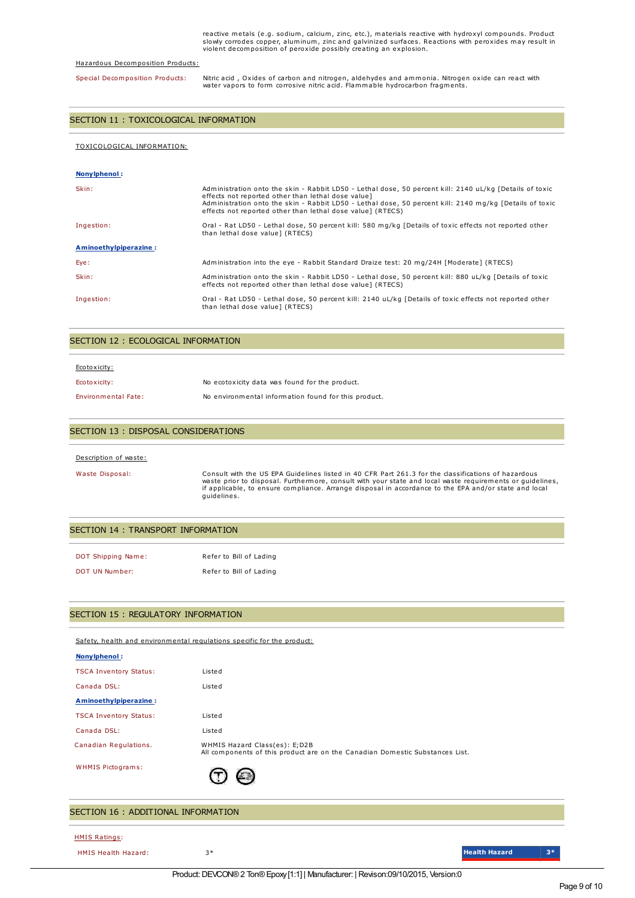reactive metals (e.g. sodium, calcium, zinc, etc.), materials reactive with hydroxyl compounds. Product slowly corrodes copper, aluminum, zinc and galvinized surfaces. Reactions with peroxides may result in violent decomposition of peroxide possibly creating an explosion.

#### Hazardous Decomposition Products:

Special Decomposition Products: Nitric acid , Oxides of carbon and nitrogen, aldehydes and ammonia. Nitrogen oxide can react with water vapors to form corrosive nitric acid. Flammable hydrocarbon fragments.

#### SECTION 11 : TOXICOLOGICAL INFORMATION

#### TOXICOLOGICAL INFORMATION:

| Nonylphenol:          |                                                                                                                                                                                                                                                                                                                                        |
|-----------------------|----------------------------------------------------------------------------------------------------------------------------------------------------------------------------------------------------------------------------------------------------------------------------------------------------------------------------------------|
| Skin:                 | Administration onto the skin - Rabbit LD50 - Lethal dose, 50 percent kill: 2140 uL/kg [Details of toxic<br>effects not reported other than lethal dose value]<br>Administration onto the skin - Rabbit LD50 - Lethal dose, 50 percent kill: 2140 mg/kg [Details of toxic<br>effects not reported other than lethal dose value] (RTECS) |
| Ingestion:            | Oral - Rat LD50 - Lethal dose, 50 percent kill: 580 mg/kg [Details of toxic effects not reported other<br>than lethal dose value] (RTECS)                                                                                                                                                                                              |
| Aminoethylpiperazine: |                                                                                                                                                                                                                                                                                                                                        |
| Eye:                  | Administration into the eye - Rabbit Standard Draize test: 20 mg/24H [Moderate] (RTECS)                                                                                                                                                                                                                                                |
| Skin:                 | Administration onto the skin - Rabbit LD50 - Lethal dose, 50 percent kill: 880 uL/kg [Details of toxic<br>effects not reported other than lethal dose value] (RTECS)                                                                                                                                                                   |
| Ingestion:            | Oral - Rat LD50 - Lethal dose, 50 percent kill: 2140 uL/kg [Details of toxic effects not reported other<br>than lethal dose value] (RTECS)                                                                                                                                                                                             |

#### SECTION 12 : ECOLOGICAL INFORMATION

| Ecotoxicity:               |                                                      |
|----------------------------|------------------------------------------------------|
| Ecotoxicity:               | No ecotoxicity data was found for the product.       |
| <b>Environmental Fate:</b> | No environmental information found for this product. |

#### SECTION 13 : DISPOSAL CONSIDERATIONS

#### Description of waste:

Waste Disposal: Consult with the US EPA Guidelines listed in 40 CFR Part 261.3 for the classifications of hazardous waste prior to disposal. Furthermore, consult with your state and local waste requirements or guidelines, if applicable, to ensure compliance. Arrange disposal in accordance to the EPA and/or state and local guidelines.

#### SECTION 14 : TRANSPORT INFORMATION

| DOT Shipping Name: | Refer to Bill of Lading |
|--------------------|-------------------------|
| DOT UN Number:     | Refer to Bill of Lading |

#### SECTION 15 : REGULATORY INFORMATION

| Safety, health and environmental regulations specific for the product: |                                                                                                               |  |  |
|------------------------------------------------------------------------|---------------------------------------------------------------------------------------------------------------|--|--|
| Nonylphenol:                                                           |                                                                                                               |  |  |
| <b>TSCA Inventory Status:</b>                                          | Listed                                                                                                        |  |  |
| Canada DSL:                                                            | Listed                                                                                                        |  |  |
| Aminoethylpiperazine:                                                  |                                                                                                               |  |  |
| <b>TSCA Inventory Status:</b>                                          | Listed                                                                                                        |  |  |
| Canada DSL:                                                            | Listed                                                                                                        |  |  |
| Canadian Regulations.                                                  | WHMIS Hazard Class(es): E;D2B<br>All components of this product are on the Canadian Domestic Substances List. |  |  |
| <b>WHMIS Pictograms:</b>                                               |                                                                                                               |  |  |

# SECTION 16 : ADDITIONAL INFORMATION

| <b>HMIS Ratings:</b> |    |                      |      |
|----------------------|----|----------------------|------|
| HMIS Health Hazard:  | マ* | <b>Health Hazard</b> | $3*$ |
|                      |    |                      |      |